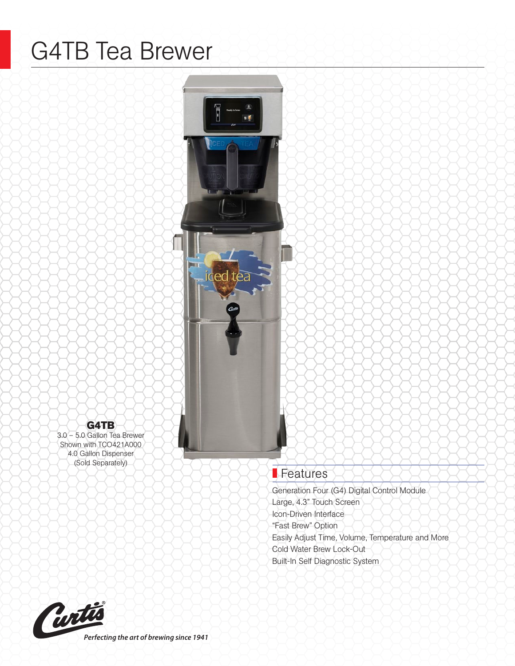# G4TB Tea Brewer



## G4TB

3.0 – 5.0 Gallon Tea Brewer Shown with TCO421A000 4.0 Gallon Dispenser (Sold Separately)

## **Features**

Generation Four (G4) Digital Control Module Large, 4.3" Touch Screen Icon-Driven Interface "Fast Brew" Option Easily Adjust Time, Volume, Temperature and More Cold Water Brew Lock-Out Built-In Self Diagnostic System